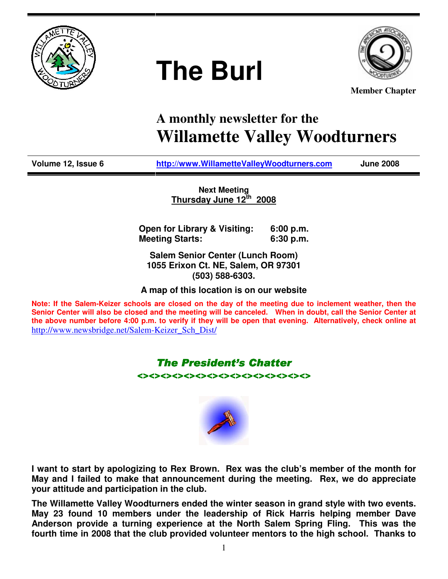

# **The Burl**



**Member Chapter**

# **A monthly newsletter for the Willamette Valley Woodturners**

**Volume 12, Issue 6 http://www.WillametteValleyWoodturners.com June 2008** 

**Next Meeting Thursday June 12th 2008**

**Open for Library & Visiting: 6:00 p.m. Meeting Starts: 6:30 p.m.** 

**Salem Senior Center (Lunch Room) 1055 Erixon Ct. NE, Salem, OR 97301 (503) 588-6303.** 

**A map of this location is on our website** 

**Note: If the Salem-Keizer schools are closed on the day of the meeting due to inclement weather, then the Senior Center will also be closed and the meeting will be canceled. When in doubt, call the Senior Center at the above number before 4:00 p.m. to verify if they will be open that evening. Alternatively, check online at**  http://www.newsbridge.net/Salem-Keizer\_Sch\_Dist/

# **The President's Chatter**

<><><><><><><><><><><><><><><>



**I want to start by apologizing to Rex Brown. Rex was the club's member of the month for May and I failed to make that announcement during the meeting. Rex, we do appreciate your attitude and participation in the club.** 

**The Willamette Valley Woodturners ended the winter season in grand style with two events. May 23 found 10 members under the leadership of Rick Harris helping member Dave Anderson provide a turning experience at the North Salem Spring Fling. This was the fourth time in 2008 that the club provided volunteer mentors to the high school. Thanks to**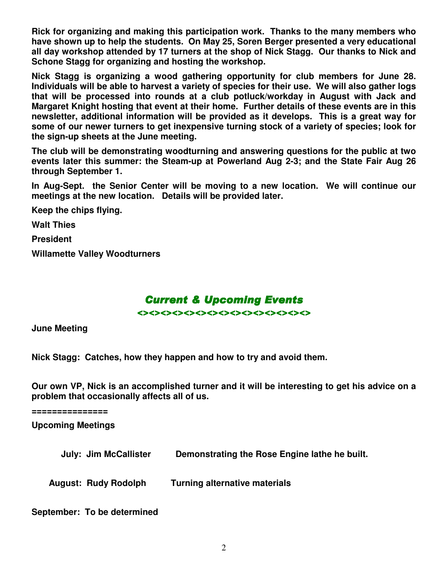**Rick for organizing and making this participation work. Thanks to the many members who have shown up to help the students. On May 25, Soren Berger presented a very educational all day workshop attended by 17 turners at the shop of Nick Stagg. Our thanks to Nick and Schone Stagg for organizing and hosting the workshop.** 

**Nick Stagg is organizing a wood gathering opportunity for club members for June 28. Individuals will be able to harvest a variety of species for their use. We will also gather logs that will be processed into rounds at a club potluck/workday in August with Jack and Margaret Knight hosting that event at their home. Further details of these events are in this newsletter, additional information will be provided as it develops. This is a great way for some of our newer turners to get inexpensive turning stock of a variety of species; look for the sign-up sheets at the June meeting.** 

**The club will be demonstrating woodturning and answering questions for the public at two events later this summer: the Steam-up at Powerland Aug 2-3; and the State Fair Aug 26 through September 1.** 

**In Aug-Sept. the Senior Center will be moving to a new location. We will continue our meetings at the new location. Details will be provided later.** 

**Keep the chips flying.** 

**Walt Thies** 

**President** 

**Willamette Valley Woodturners** 

# **Current & Upcoming Events**

<><><><><><><><><><><><><><><>

**June Meeting** 

**Nick Stagg: Catches, how they happen and how to try and avoid them.** 

**Our own VP, Nick is an accomplished turner and it will be interesting to get his advice on a problem that occasionally affects all of us.** 

**===============** 

**Upcoming Meetings** 

 **July: Jim McCallister Demonstrating the Rose Engine lathe he built.** 

 **August: Rudy Rodolph Turning alternative materials** 

**September: To be determined**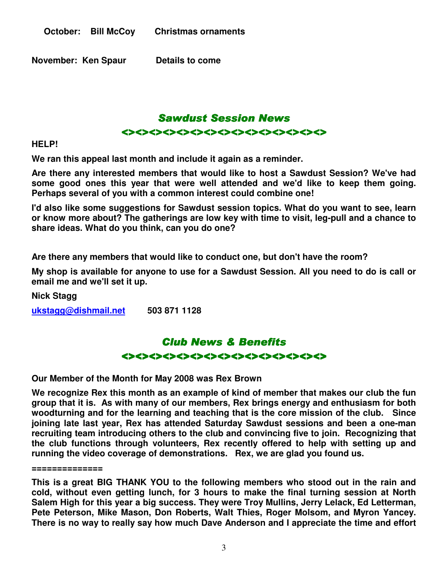**November: Ken Spaur Details to come** 



**HELP!** 

**We ran this appeal last month and include it again as a reminder.** 

**Are there any interested members that would like to host a Sawdust Session? We've had some good ones this year that were well attended and we'd like to keep them going. Perhaps several of you with a common interest could combine one!** 

**I'd also like some suggestions for Sawdust session topics. What do you want to see, learn or know more about? The gatherings are low key with time to visit, leg-pull and a chance to share ideas. What do you think, can you do one?** 

**Are there any members that would like to conduct one, but don't have the room?** 

**My shop is available for anyone to use for a Sawdust Session. All you need to do is call or email me and we'll set it up.** 

**Nick Stagg** 

**ukstagg@dishmail.net 503 871 1128** 

# Club News & Benefits <><><><><><><><><><><><><><><>

**Our Member of the Month for May 2008 was Rex Brown** 

**We recognize Rex this month as an example of kind of member that makes our club the fun group that it is. As with many of our members, Rex brings energy and enthusiasm for both woodturning and for the learning and teaching that is the core mission of the club. Since joining late last year, Rex has attended Saturday Sawdust sessions and been a one-man recruiting team introducing others to the club and convincing five to join. Recognizing that the club functions through volunteers, Rex recently offered to help with setting up and running the video coverage of demonstrations. Rex, we are glad you found us.** 

#### **==============**

**This is a great BIG THANK YOU to the following members who stood out in the rain and cold, without even getting lunch, for 3 hours to make the final turning session at North Salem High for this year a big success. They were Troy Mullins, Jerry Lelack, Ed Letterman, Pete Peterson, Mike Mason, Don Roberts, Walt Thies, Roger Molsom, and Myron Yancey. There is no way to really say how much Dave Anderson and I appreciate the time and effort**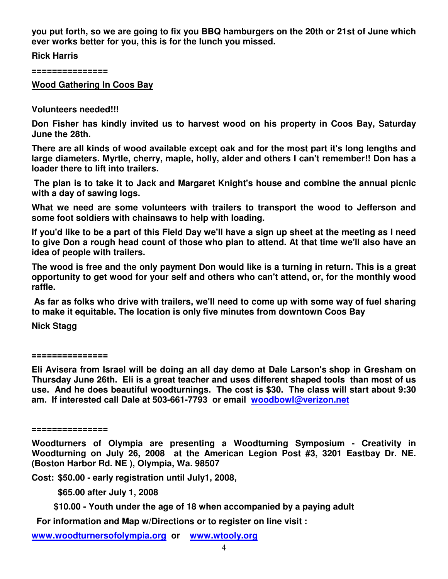**you put forth, so we are going to fix you BBQ hamburgers on the 20th or 21st of June which ever works better for you, this is for the lunch you missed.** 

**Rick Harris** 

**===============** 

**Wood Gathering In Coos Bay**

**Volunteers needed!!!** 

**Don Fisher has kindly invited us to harvest wood on his property in Coos Bay, Saturday June the 28th.** 

**There are all kinds of wood available except oak and for the most part it's long lengths and large diameters. Myrtle, cherry, maple, holly, alder and others I can't remember!! Don has a loader there to lift into trailers.** 

 **The plan is to take it to Jack and Margaret Knight's house and combine the annual picnic with a day of sawing logs.** 

**What we need are some volunteers with trailers to transport the wood to Jefferson and some foot soldiers with chainsaws to help with loading.** 

**If you'd like to be a part of this Field Day we'll have a sign up sheet at the meeting as I need to give Don a rough head count of those who plan to attend. At that time we'll also have an idea of people with trailers.** 

**The wood is free and the only payment Don would like is a turning in return. This is a great opportunity to get wood for your self and others who can't attend, or, for the monthly wood raffle.** 

 **As far as folks who drive with trailers, we'll need to come up with some way of fuel sharing to make it equitable. The location is only five minutes from downtown Coos Bay** 

**Nick Stagg** 

**===============** 

**Eli Avisera from Israel will be doing an all day demo at Dale Larson's shop in Gresham on Thursday June 26th. Eli is a great teacher and uses different shaped tools than most of us use. And he does beautiful woodturnings. The cost is \$30. The class will start about 9:30 am. If interested call Dale at 503-661-7793 or email woodbowl@verizon.net**

**===============** 

**Woodturners of Olympia are presenting a Woodturning Symposium - Creativity in Woodturning on July 26, 2008 at the American Legion Post #3, 3201 Eastbay Dr. NE. (Boston Harbor Rd. NE ), Olympia, Wa. 98507** 

**Cost: \$50.00 - early registration until July1, 2008,** 

 **\$65.00 after July 1, 2008** 

 **\$10.00 - Youth under the age of 18 when accompanied by a paying adult** 

 **For information and Map w/Directions or to register on line visit :** 

**www.woodturnersofolympia.org or www.wtooly.org**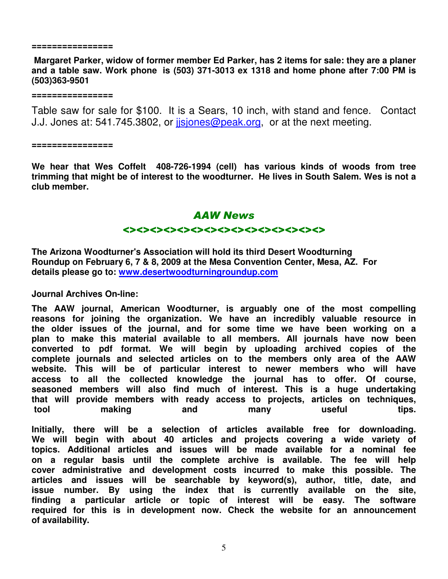#### **================**

 **Margaret Parker, widow of former member Ed Parker, has 2 items for sale: they are a planer and a table saw. Work phone is (503) 371-3013 ex 1318 and home phone after 7:00 PM is (503)363-9501** 

**================** 

Table saw for sale for \$100. It is a Sears, 10 inch, with stand and fence. Contact J.J. Jones at: 541.745.3802, or *jisjones@peak.org*, or at the next meeting.

**================** 

**We hear that Wes Coffelt 408-726-1994 (cell) has various kinds of woods from tree trimming that might be of interest to the woodturner. He lives in South Salem. Wes is not a club member.** 

### AAW News

#### <><><><><><><><><><><><><><><>

**The Arizona Woodturner's Association will hold its third Desert Woodturning Roundup on February 6, 7 & 8, 2009 at the Mesa Convention Center, Mesa, AZ. For details please go to: www.desertwoodturningroundup.com**

**Journal Archives On-line:** 

**The AAW journal, American Woodturner, is arguably one of the most compelling reasons for joining the organization. We have an incredibly valuable resource in the older issues of the journal, and for some time we have been working on a plan to make this material available to all members. All journals have now been converted to pdf format. We will begin by uploading archived copies of the complete journals and selected articles on to the members only area of the AAW website. This will be of particular interest to newer members who will have access to all the collected knowledge the journal has to offer. Of course, seasoned members will also find much of interest. This is a huge undertaking that will provide members with ready access to projects, articles on techniques, tool making and many useful tips.** 

**Initially, there will be a selection of articles available free for downloading. We will begin with about 40 articles and projects covering a wide variety of topics. Additional articles and issues will be made available for a nominal fee on a regular basis until the complete archive is available. The fee will help cover administrative and development costs incurred to make this possible. The articles and issues will be searchable by keyword(s), author, title, date, and issue number. By using the index that is currently available on the site, finding a particular article or topic of interest will be easy. The software required for this is in development now. Check the website for an announcement of availability.**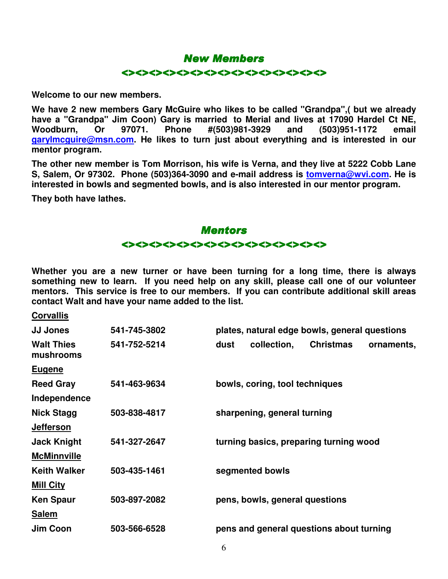#### New Members

#### <><><><><><><><><><><><><><><>

**Welcome to our new members.** 

**We have 2 new members Gary McGuire who likes to be called "Grandpa",( but we already have a "Grandpa" Jim Coon) Gary is married to Merial and lives at 17090 Hardel Ct NE, Woodburn, Or 97071. Phone #(503)981-3929 and (503)951-1172 email garylmcguire@msn.com. He likes to turn just about everything and is interested in our mentor program.** 

**The other new member is Tom Morrison, his wife is Verna, and they live at 5222 Cobb Lane S, Salem, Or 97302. Phone (503)364-3090 and e-mail address is tomverna@wvi.com. He is interested in bowls and segmented bowls, and is also interested in our mentor program.** 

**They both have lathes.** 

# **Mentors** <><><><><><><><><><><><><><><>

**Whether you are a new turner or have been turning for a long time, there is always something new to learn. If you need help on any skill, please call one of our volunteer mentors. This service is free to our members. If you can contribute additional skill areas contact Walt and have your name added to the list.** 

#### **Corvallis**

| <b>JJ Jones</b>                | 541-745-3802 | plates, natural edge bowls, general questions         |
|--------------------------------|--------------|-------------------------------------------------------|
| <b>Walt Thies</b><br>mushrooms | 541-752-5214 | <b>Christmas</b><br>collection,<br>dust<br>ornaments, |
| <b>Eugene</b>                  |              |                                                       |
| <b>Reed Gray</b>               | 541-463-9634 | bowls, coring, tool techniques                        |
| Independence                   |              |                                                       |
| <b>Nick Stagg</b>              | 503-838-4817 | sharpening, general turning                           |
| <b>Jefferson</b>               |              |                                                       |
| <b>Jack Knight</b>             | 541-327-2647 | turning basics, preparing turning wood                |
| <b>McMinnville</b>             |              |                                                       |
| <b>Keith Walker</b>            | 503-435-1461 | segmented bowls                                       |
| <b>Mill City</b>               |              |                                                       |
| <b>Ken Spaur</b>               | 503-897-2082 | pens, bowls, general questions                        |
| <b>Salem</b>                   |              |                                                       |
| Jim Coon                       | 503-566-6528 | pens and general questions about turning              |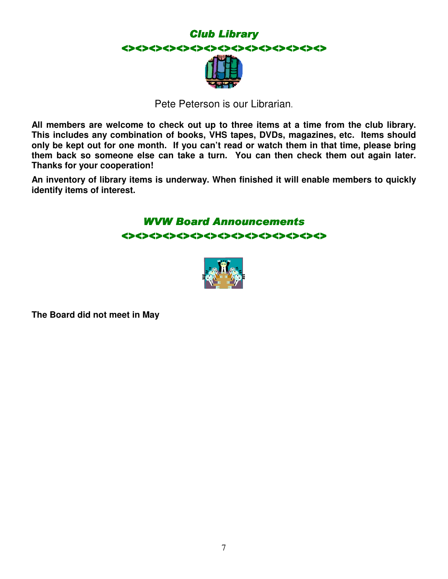

Pete Peterson is our Librarian.

**All members are welcome to check out up to three items at a time from the club library. This includes any combination of books, VHS tapes, DVDs, magazines, etc. Items should only be kept out for one month. If you can't read or watch them in that time, please bring them back so someone else can take a turn. You can then check them out again later. Thanks for your cooperation!** 

**An inventory of library items is underway. When finished it will enable members to quickly identify items of interest.** 

## WVW Board Announcements <><><><><><><><><><><><><><><>



**The Board did not meet in May**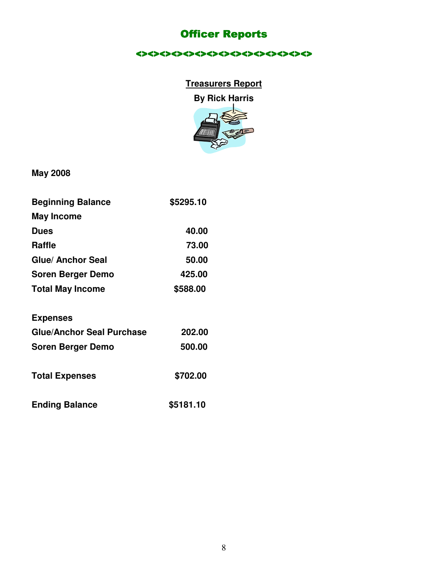# **Officer Reports**

<><><><><><><><><><><><><><<<<<<<<<<

# **Treasurers Report**

**By Rick Harris** 



**May 2008** 

| <b>Beginning Balance</b>         | \$5295.10 |
|----------------------------------|-----------|
| <b>May Income</b>                |           |
| <b>Dues</b>                      | 40.00     |
| <b>Raffle</b>                    | 73.00     |
| Glue/ Anchor Seal                | 50.00     |
| <b>Soren Berger Demo</b>         | 425.00    |
| <b>Total May Income</b>          | \$588.00  |
| <b>Expenses</b>                  |           |
| <b>Glue/Anchor Seal Purchase</b> | 202.00    |
| <b>Soren Berger Demo</b>         | 500.00    |

Total Expenses \$702.00

| <b>Ending Balance</b> | \$5181.10 |
|-----------------------|-----------|
|-----------------------|-----------|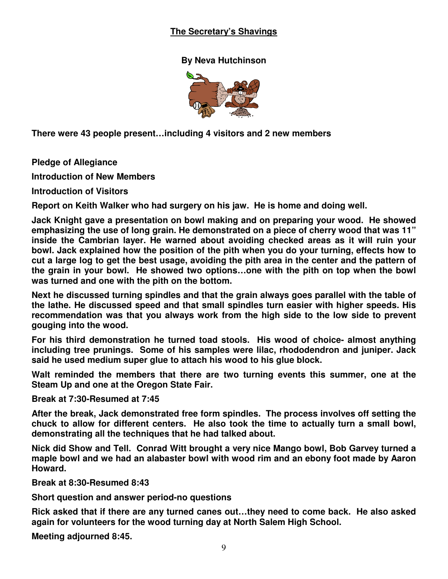### **The Secretary's Shavings**

#### **By Neva Hutchinson**



**There were 43 people present…including 4 visitors and 2 new members** 

**Pledge of Allegiance** 

**Introduction of New Members** 

**Introduction of Visitors** 

**Report on Keith Walker who had surgery on his jaw. He is home and doing well.** 

**Jack Knight gave a presentation on bowl making and on preparing your wood. He showed emphasizing the use of long grain. He demonstrated on a piece of cherry wood that was 11" inside the Cambrian layer. He warned about avoiding checked areas as it will ruin your bowl. Jack explained how the position of the pith when you do your turning, effects how to cut a large log to get the best usage, avoiding the pith area in the center and the pattern of the grain in your bowl. He showed two options…one with the pith on top when the bowl was turned and one with the pith on the bottom.** 

**Next he discussed turning spindles and that the grain always goes parallel with the table of the lathe. He discussed speed and that small spindles turn easier with higher speeds. His recommendation was that you always work from the high side to the low side to prevent gouging into the wood.** 

**For his third demonstration he turned toad stools. His wood of choice- almost anything including tree prunings. Some of his samples were lilac, rhododendron and juniper. Jack said he used medium super glue to attach his wood to his glue block.** 

**Walt reminded the members that there are two turning events this summer, one at the Steam Up and one at the Oregon State Fair.** 

**Break at 7:30-Resumed at 7:45** 

**After the break, Jack demonstrated free form spindles. The process involves off setting the chuck to allow for different centers. He also took the time to actually turn a small bowl, demonstrating all the techniques that he had talked about.** 

**Nick did Show and Tell. Conrad Witt brought a very nice Mango bowl, Bob Garvey turned a maple bowl and we had an alabaster bowl with wood rim and an ebony foot made by Aaron Howard.** 

**Break at 8:30-Resumed 8:43** 

**Short question and answer period-no questions** 

**Rick asked that if there are any turned canes out…they need to come back. He also asked again for volunteers for the wood turning day at North Salem High School.** 

**Meeting adjourned 8:45.**